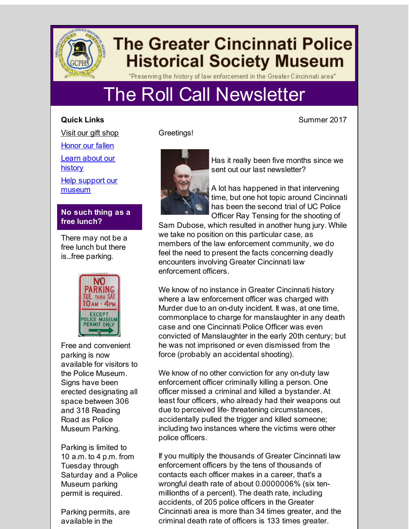

# **The Greater Cincinnati Police Historical Society Museum**

"Preserving the history of law enforcement in the Greater Cincinnati area"

# The Roll Call Newsletter

# **Quick Links**

Visit our gift [shop](http://r20.rs6.net/tn.jsp?f=001b3vJYc1wNCYwCUPTG7MWwfco43PQgJ1kroFLdLYyfPaYfQlb3871Y6P6yfWsvyPZuu1mN_9Uy4jHAorAoCFt9PfKT7z-ZUaj81nKpqou8jcp3SuUdwWDR91bWdvXqqVZITFI6fNvm88hIVdfQ7GhIXiPMT-jyMF1A3--IanWhot0esVXHC7ZrRskPefu8zSs&c=&ch=)

[Honor](http://r20.rs6.net/tn.jsp?f=001b3vJYc1wNCYwCUPTG7MWwfco43PQgJ1kroFLdLYyfPaYfQlb3871Y6P6yfWsvyPZSKBbj6rbrp6QkT6gap_DyrvEuxTjnIRdTzdqlKsn-dpScd75TYZpEMfI2mzrffFJomQrfSYCX6lUtU8PBEkbeiDRcwOJ99CxaZaSOhBUYuXrfb5ccyV9Lc1E9UN4Mmt_&c=&ch=) our fallen

Learn about our [history](http://r20.rs6.net/tn.jsp?f=001b3vJYc1wNCYwCUPTG7MWwfco43PQgJ1kroFLdLYyfPaYfQlb3871Y6P6yfWsvyPZW2d2_NKwuMvR_bOmyA8LcX54STpb1lufBF3Z5ITUsWXZapdVPzfcoN8bJGsZFWlf5XVT-9V0cnZfUY7UK0gLypXP8NponC-HHENU19hdUd7G6H4J7-atu85nBWng6nrlGVpA0xhAsgmq-yuCMSVv8Ekoo0ntGfi9&c=&ch=)

Help support our [museum](http://r20.rs6.net/tn.jsp?f=001b3vJYc1wNCYwCUPTG7MWwfco43PQgJ1kroFLdLYyfPaYfQlb3871Y6P6yfWsvyPZSz3e8IGa2hiywFBQMI5EGyi3ejAFHG7-UnSDrNXNEYoOpozYEmKBF7YQILaho468jtMkU8BOtWGfCA3nGzOHGB0UObFGyqXgmbyUUBO-IXLvSTKwZLyffygVFLs-absD&c=&ch=)

# **No such thing as a free lunch?**

There may not be a free lunch but there is...free parking.



Free and convenient parking is now available for visitors to the Police Museum. Signs have been erected designating all space between 306 and 318 Reading Road as Police Museum Parking.

Parking is limited to 10 a.m. to 4 p.m. from Tuesday through Saturday and a Police Museum parking permit is required.

Parking permits, are available in the

Greetings!



Has it really been five months since we sent out our last newsletter?

A lot has happened in that intervening time, but one hot topic around Cincinnati has been the second trial of UC Police Officer Ray Tensing for the shooting of

Sam Dubose, which resulted in another hung jury. While we take no position on this particular case, as members of the law enforcement community, we do feel the need to present the facts concerning deadly encounters involving Greater Cincinnati law enforcement officers.

We know of no instance in Greater Cincinnati history where a law enforcement officer was charged with Murder due to an on-duty incident. It was, at one time, commonplace to charge for manslaughter in any death case and one Cincinnati Police Officer was even convicted of Manslaughter in the early 20th century; but he was not imprisoned or even dismissed from the force (probably an accidental shooting).

We know of no other conviction for any on-duty law enforcement officer criminally killing a person. One officer missed a criminal and killed a bystander. At least four officers, who already had their weapons out due to perceived life- threatening circumstances, accidentally pulled the trigger and killed someone; including two instances where the victims were other police officers.

If you multiply the thousands of Greater Cincinnati law enforcement officers by the tens of thousands of contacts each officer makes in a career, that's a wrongful death rate of about 0.0000006% (six tenmillionths of a percent). The death rate, including accidents, of 205 police officers in the Greater Cincinnati area is more than 34 times greater, and the criminal death rate of officers is 133 times greater.

Summer 2017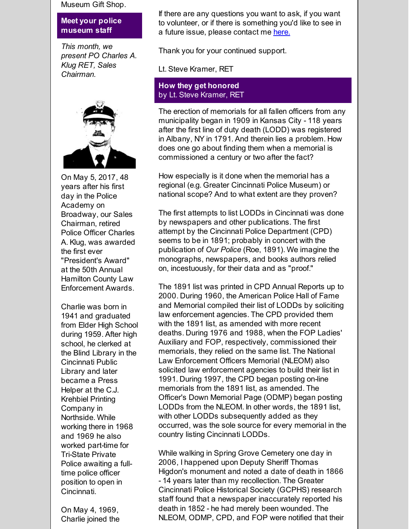Museum Gift Shop.

#### **Meet your police museum staff**

*This month, we present PO Charles A. Klug RET, Sales Chairman.*



On May 5, 2017, 48 years after his first day in the Police Academy on Broadway, our Sales Chairman, retired Police Officer Charles A. Klug, was awarded the first ever "President's Award" at the 50th Annual Hamilton County Law Enforcement Awards.

Charlie was born in 1941 and graduated from Elder High School during 1959. After high school, he clerked at the Blind Library in the Cincinnati Public Library and later became a Press Helper at the C.J. Krehbiel Printing Company in Northside. While working there in 1968 and 1969 he also worked part-time for Tri-State Private Police awaiting a fulltime police officer position to open in Cincinnati.

On May 4, 1969, Charlie joined the

If there are any questions you want to ask, if you want to volunteer, or if there is something you'd like to see in a future issue, please contact me [here.](mailto:skramer@reagan.com)

Thank you for your continued support.

Lt. Steve Kramer, RET

## **How they get honored** by Lt. Steve Kramer, RET

The erection of memorials for all fallen officers from any municipality began in 1909 in Kansas City - 118 years after the first line of duty death (LODD) was registered in Albany, NY in 1791. And therein lies a problem. How does one go about finding them when a memorial is commissioned a century or two after the fact?

How especially is it done when the memorial has a regional (e.g. Greater Cincinnati Police Museum) or national scope? And to what extent are they proven?

The first attempts to list LODDs in Cincinnati was done by newspapers and other publications. The first attempt by the Cincinnati Police Department (CPD) seems to be in 1891; probably in concert with the publication of *Our Police* (Roe, 1891). We imagine the monographs, newspapers, and books authors relied on, incestuously, for their data and as "proof."

The 1891 list was printed in CPD Annual Reports up to 2000. During 1960, the American Police Hall of Fame and Memorial compiled their list of LODDs by soliciting law enforcement agencies. The CPD provided them with the 1891 list, as amended with more recent deaths. During 1976 and 1988, when the FOP Ladies' Auxiliary and FOP, respectively, commissioned their memorials, they relied on the same list. The National Law Enforcement Officers Memorial (NLEOM) also solicited law enforcement agencies to build their list in 1991. During 1997, the CPD began posting on-line memorials from the 1891 list, as amended. The Officer's Down Memorial Page (ODMP) began posting LODDs from the NLEOM. In other words, the 1891 list, with other LODDs subsequently added as they occurred, was the sole source for every memorial in the country listing Cincinnati LODDs.

While walking in Spring Grove Cemetery one day in 2006, I happened upon Deputy Sheriff Thomas Higdon's monument and noted a date of death in 1866 - 14 years later than my recollection. The Greater Cincinnati Police Historical Society (GCPHS) research staff found that a newspaper inaccurately reported his death in 1852 - he had merely been wounded. The NLEOM, ODMP, CPD, and FOP were notified that their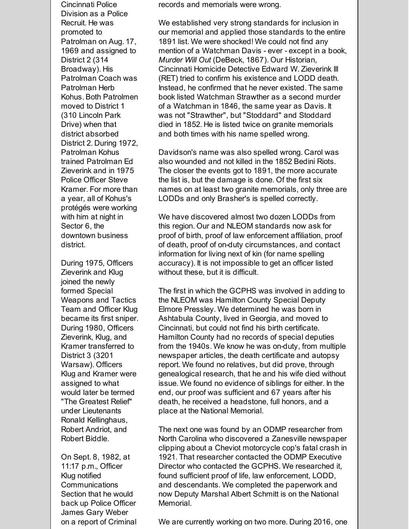Cincinnati Police Division as a Police Recruit. He was promoted to Patrolman on Aug. 17, 1969 and assigned to District 2 (314 Broadway). His Patrolman Coach was Patrolman Herb Kohus. Both Patrolmen moved to District 1 (310 Lincoln Park Drive) when that district absorbed District 2. During 1972, Patrolman Kohus trained Patrolman Ed Zieverink and in 1975 Police Officer Steve Kramer. For more than a year, all of Kohus's protégés were working with him at night in Sector 6, the downtown business district.

During 1975, Officers Zieverink and Klug joined the newly formed Special Weapons and Tactics Team and Officer Klug became its first sniper. During 1980, Officers Zieverink, Klug, and Kramer transferred to District 3 (3201 Warsaw). Officers Klug and Kramer were assigned to what would later be termed "The Greatest Relief" under Lieutenants Ronald Kellinghaus, Robert Andriot, and Robert Biddle.

On Sept. 8, 1982, at 11:17 p.m., Officer Klug notified **Communications** Section that he would back up Police Officer James Gary Weber on a report of Criminal records and memorials were wrong.

We established very strong standards for inclusion in our memorial and applied those standards to the entire 1891 list. We were shocked! We could not find any mention of a Watchman Davis - ever - except in a book, *Murder Will Out* (DeBeck, 1867). Our Historian, Cincinnati Homicide Detective Edward W. Zieverink III (RET) tried to confirm his existence and LODD death. Instead, he confirmed that he never existed. The same book listed Watchman Strawther as a second murder of a Watchman in 1846, the same year as Davis. It was not "Strawther", but "Stoddard" and Stoddard died in 1852. He is listed twice on granite memorials and both times with his name spelled wrong.

Davidson's name was also spelled wrong. Carol was also wounded and not killed in the 1852 Bedini Riots. The closer the events got to 1891, the more accurate the list is, but the damage is done. Of the first six names on at least two granite memorials, only three are LODDs and only Brasher's is spelled correctly.

We have discovered almost two dozen LODDs from this region. Our and NLEOM standards now ask for proof of birth, proof of law enforcement affiliation, proof of death, proof of on-duty circumstances, and contact information for living next of kin (for name spelling accuracy). It is not impossible to get an officer listed without these, but it is difficult.

The first in which the GCPHS was involved in adding to the NLEOM was Hamilton County Special Deputy Elmore Pressley. We determined he was born in Ashtabula County, lived in Georgia, and moved to Cincinnati, but could not find his birth certificate. Hamilton County had no records of special deputies from the 1940s. We know he was on-duty, from multiple newspaper articles, the death certificate and autopsy report. We found no relatives, but did prove, through genealogical research, that he and his wife died without issue. We found no evidence of siblings for either. In the end, our proof was sufficient and 67 years after his death, he received a headstone, full honors, and a place at the National Memorial.

The next one was found by an ODMP researcher from North Carolina who discovered a Zanesville newspaper clipping about a Cheviot motorcycle cop's fatal crash in 1921. That researcher contacted the ODMP Executive Director who contacted the GCPHS. We researched it, found sufficient proof of life, law enforcement, LODD, and descendants. We completed the paperwork and now Deputy Marshal Albert Schmitt is on the National Memorial.

We are currently working on two more. During 2016, one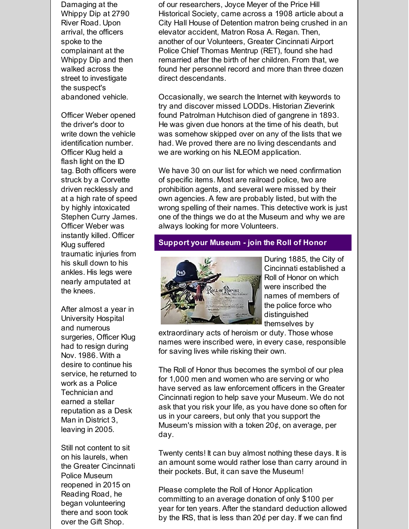Damaging at the Whippy Dip at 2790 River Road. Upon arrival, the officers spoke to the complainant at the Whippy Dip and then walked across the street to investigate the suspect's abandoned vehicle.

Officer Weber opened the driver's door to write down the vehicle identification number. Officer Klug held a flash light on the ID tag. Both officers were struck by a Corvette driven recklessly and at a high rate of speed by highly intoxicated Stephen Curry James. Officer Weber was instantly killed. Officer Klug suffered traumatic injuries from his skull down to his ankles. His legs were nearly amputated at the knees.

After almost a year in University Hospital and numerous surgeries, Officer Klug had to resign during Nov. 1986. With a desire to continue his service, he returned to work as a Police Technician and earned a stellar reputation as a Desk Man in District 3, leaving in 2005.

Still not content to sit on his laurels, when the Greater Cincinnati Police Museum reopened in 2015 on Reading Road, he began volunteering there and soon took over the Gift Shop.

of our researchers, Joyce Meyer of the Price Hill Historical Society, came across a 1908 article about a City Hall House of Detention matron being crushed in an elevator accident, Matron Rosa A. Regan. Then, another of our Volunteers, Greater Cincinnati Airport Police Chief Thomas Mentrup (RET), found she had remarried after the birth of her children. From that, we found her personnel record and more than three dozen direct descendants.

Occasionally, we search the Internet with keywords to try and discover missed LODDs. Historian Zieverink found Patrolman Hutchison died of gangrene in 1893. He was given due honors at the time of his death, but was somehow skipped over on any of the lists that we had. We proved there are no living descendants and we are working on his NLEOM application.

We have 30 on our list for which we need confirmation of specific items. Most are railroad police, two are prohibition agents, and several were missed by their own agencies. A few are probably listed, but with the wrong spelling of their names. This detective work is just one of the things we do at the Museum and why we are always looking for more Volunteers.

### **Support your Museum - join the Roll of Honor**



During 1885, the City of Cincinnati established a Roll of Honor on which were inscribed the names of members of the police force who distinguished themselves by

extraordinary acts of heroism or duty. Those whose names were inscribed were, in every case, responsible for saving lives while risking their own.

The Roll of Honor thus becomes the symbol of our plea for 1,000 men and women who are serving or who have served as law enforcement officers in the Greater Cincinnati region to help save your Museum. We do not ask that you risk your life, as you have done so often for us in your careers, but only that you support the Museum's mission with a token  $20¢$ , on average, per day.

Twenty cents! It can buy almost nothing these days. It is an amount some would rather lose than carry around in their pockets. But, it can save the Museum!

Please complete the Roll of Honor Application committing to an average donation of only \$100 per year for ten years. After the standard deduction allowed by the IRS, that is less than  $20¢$  per day. If we can find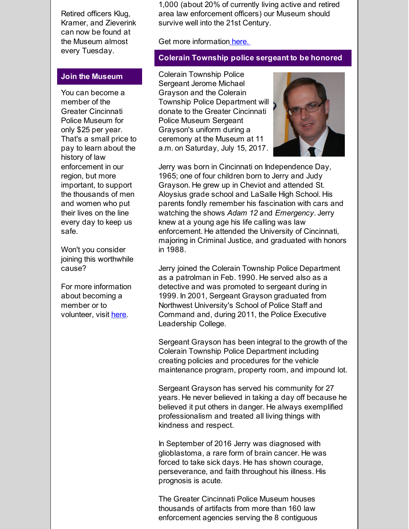Retired officers Klug, Kramer, and Zieverink can now be found at the Museum almost every Tuesday.

#### **Join the Museum**

You can become a member of the Greater Cincinnati Police Museum for only \$25 per year. That's a small price to pay to learn about the history of law enforcement in our region, but more important, to support the thousands of men and women who put their lives on the line every day to keep us safe.

Won't you consider joining this worthwhile cause?

For more information about becoming a member or to volunteer, visit [here](http://r20.rs6.net/tn.jsp?f=001b3vJYc1wNCYwCUPTG7MWwfco43PQgJ1kroFLdLYyfPaYfQlb3871Y784wCXejNKFyoHhw0EZ0vho7ljSc1Y-wsbTj-lJ2x85KTlUa0igB-fStXowWxo5SurK-8vp9t9YTbhk7TD9UN_rY32qxfue2l-Zu6PYp2N2X5J49hIzrUeejMkIleIYy1PLVCm3v0i1&c=&ch=).

1,000 (about 20% of currently living active and retired area law enforcement officers) our Museum should survive well into the 21st Century.

Get more information [here.](http://r20.rs6.net/tn.jsp?f=001b3vJYc1wNCYwCUPTG7MWwfco43PQgJ1kroFLdLYyfPaYfQlb3871Y784wCXejNKF3gDUKqKkuLO9G-NEJM42jbQAdz2lW0sOGrYqfUIPPX4KkWQeUF_lxXKs7uaefyHTmWp0wnm7eco-KE1dyEqKcakmXijP_RiT9HEEmsAEREo08U0BxeckH4PfyL8K0-8CPo1nM15EYf--wJ93KDWCMg==&c=&ch=)

#### **Colerain Township police sergeant to be honored**

Colerain Township Police Sergeant Jerome Michael Grayson and the Colerain Township Police Department will donate to the Greater Cincinnati Police Museum Sergeant Grayson's uniform during a ceremony at the Museum at 11 a.m. on Saturday, July 15, 2017.



Jerry was born in Cincinnati on Independence Day, 1965; one of four children born to Jerry and Judy Grayson. He grew up in Cheviot and attended St. Aloysius grade school and LaSalle High School. His parents fondly remember his fascination with cars and watching the shows *Adam 12* and *Emergency*. Jerry knew at a young age his life calling was law enforcement. He attended the University of Cincinnati, majoring in Criminal Justice, and graduated with honors in 1988.

Jerry joined the Colerain Township Police Department as a patrolman in Feb. 1990. He served also as a detective and was promoted to sergeant during in 1999. In 2001, Sergeant Grayson graduated from Northwest University's School of Police Staff and Command and, during 2011, the Police Executive Leadership College.

Sergeant Grayson has been integral to the growth of the Colerain Township Police Department including creating policies and procedures for the vehicle maintenance program, property room, and impound lot.

Sergeant Grayson has served his community for 27 years. He never believed in taking a day off because he believed it put others in danger. He always exemplified professionalism and treated all living things with kindness and respect.

In September of 2016 Jerry was diagnosed with glioblastoma, a rare form of brain cancer. He was forced to take sick days. He has shown courage, perseverance, and faith throughout his illness. His prognosis is acute.

The Greater Cincinnati Police Museum houses thousands of artifacts from more than 160 law enforcement agencies serving the 8 contiguous